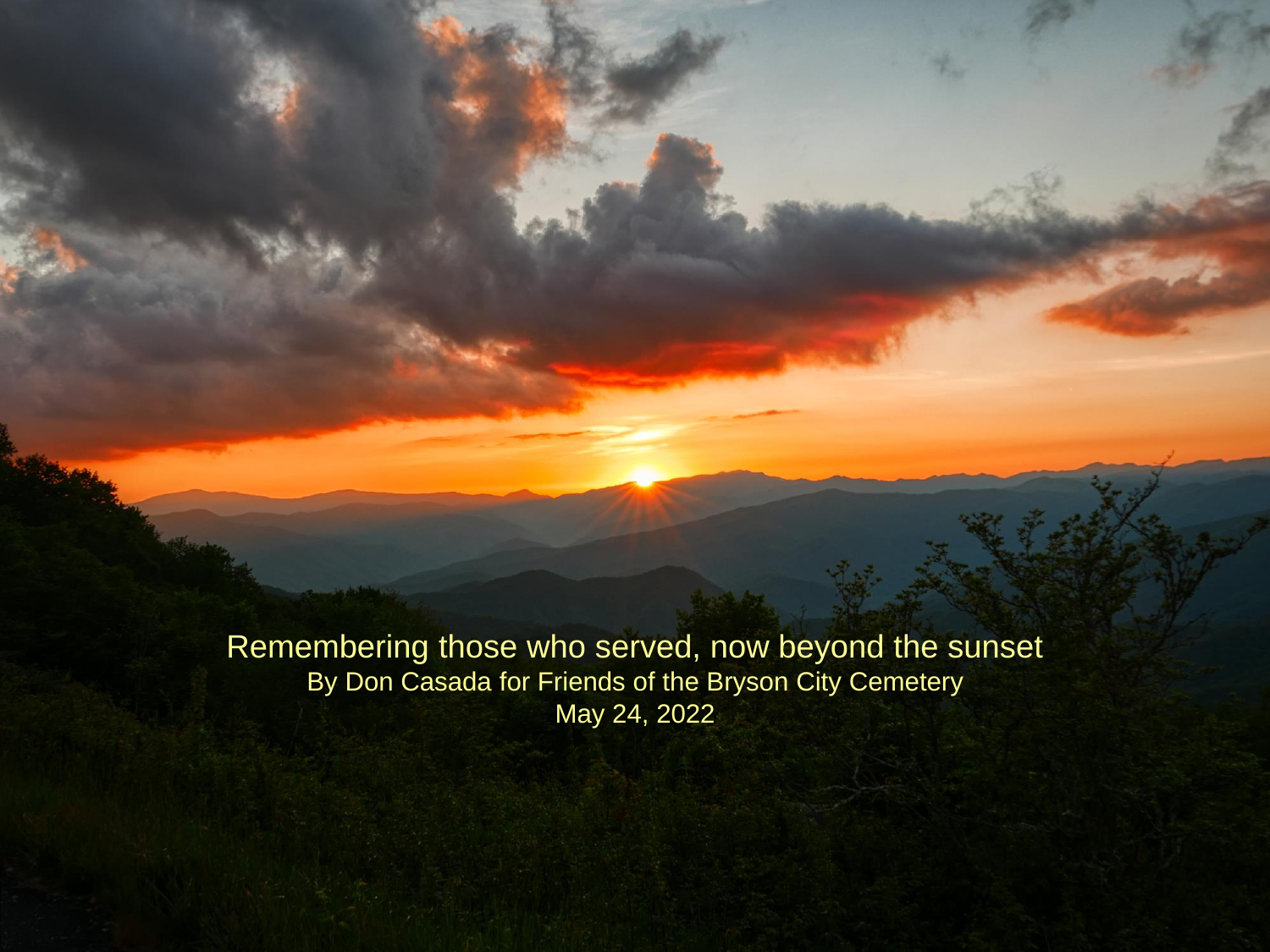Remembering those who served, now beyond the sunset By Don Casada for Friends of the Bryson City Cemetery May 24, 2022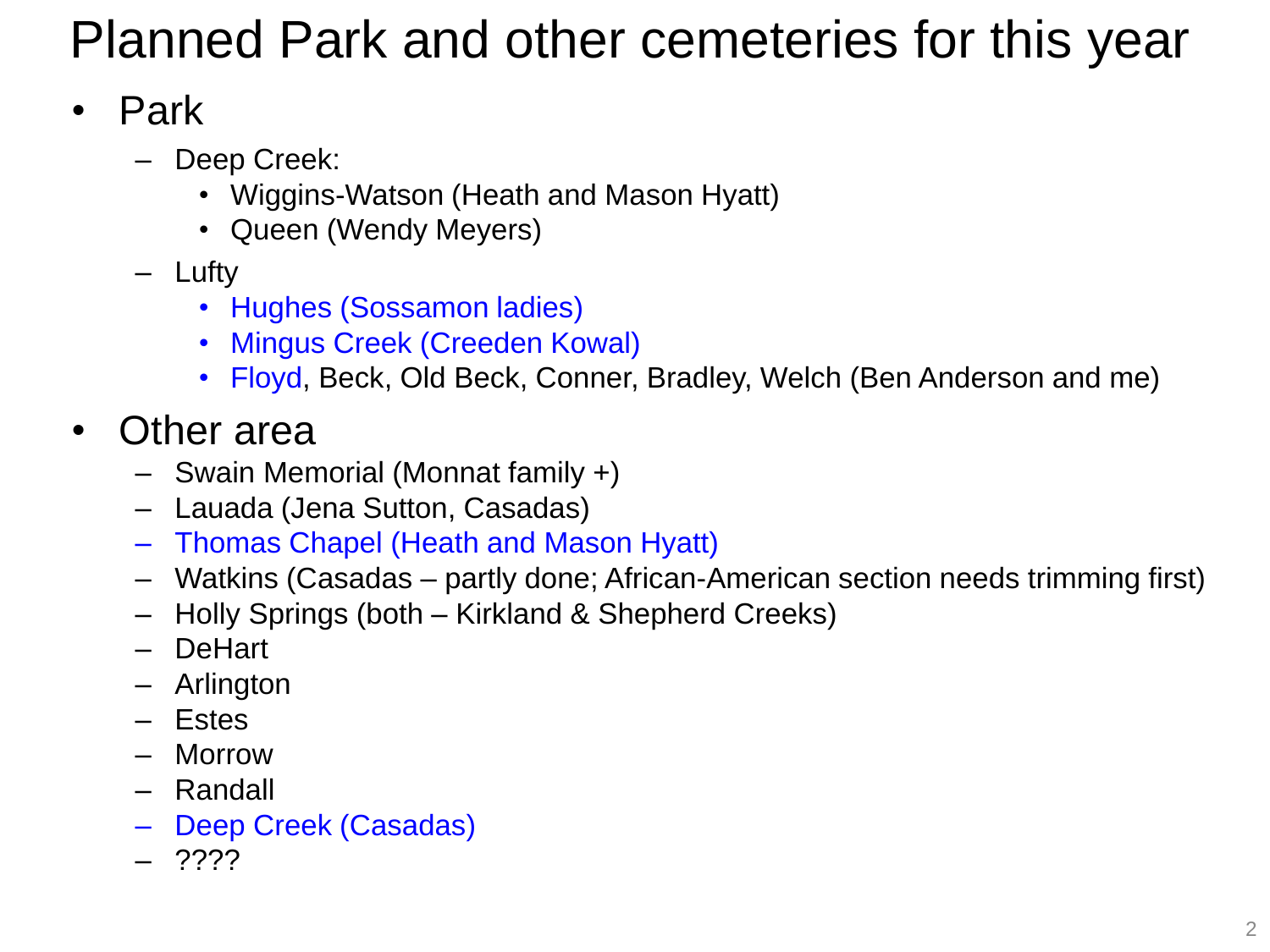# Planned Park and other cemeteries for this year

## • Park

- Deep Creek:
	- Wiggins-Watson (Heath and Mason Hyatt)
	- Queen (Wendy Meyers)
- Lufty
	- Hughes (Sossamon ladies)
	- Mingus Creek (Creeden Kowal)
	- Floyd, Beck, Old Beck, Conner, Bradley, Welch (Ben Anderson and me)

### • Other area

- Swain Memorial (Monnat family +)
- Lauada (Jena Sutton, Casadas)
- Thomas Chapel (Heath and Mason Hyatt)
- Watkins (Casadas partly done; African-American section needs trimming first)
- Holly Springs (both Kirkland & Shepherd Creeks)
- DeHart
- Arlington
- Estes
- Morrow
- Randall
- Deep Creek (Casadas)
- ????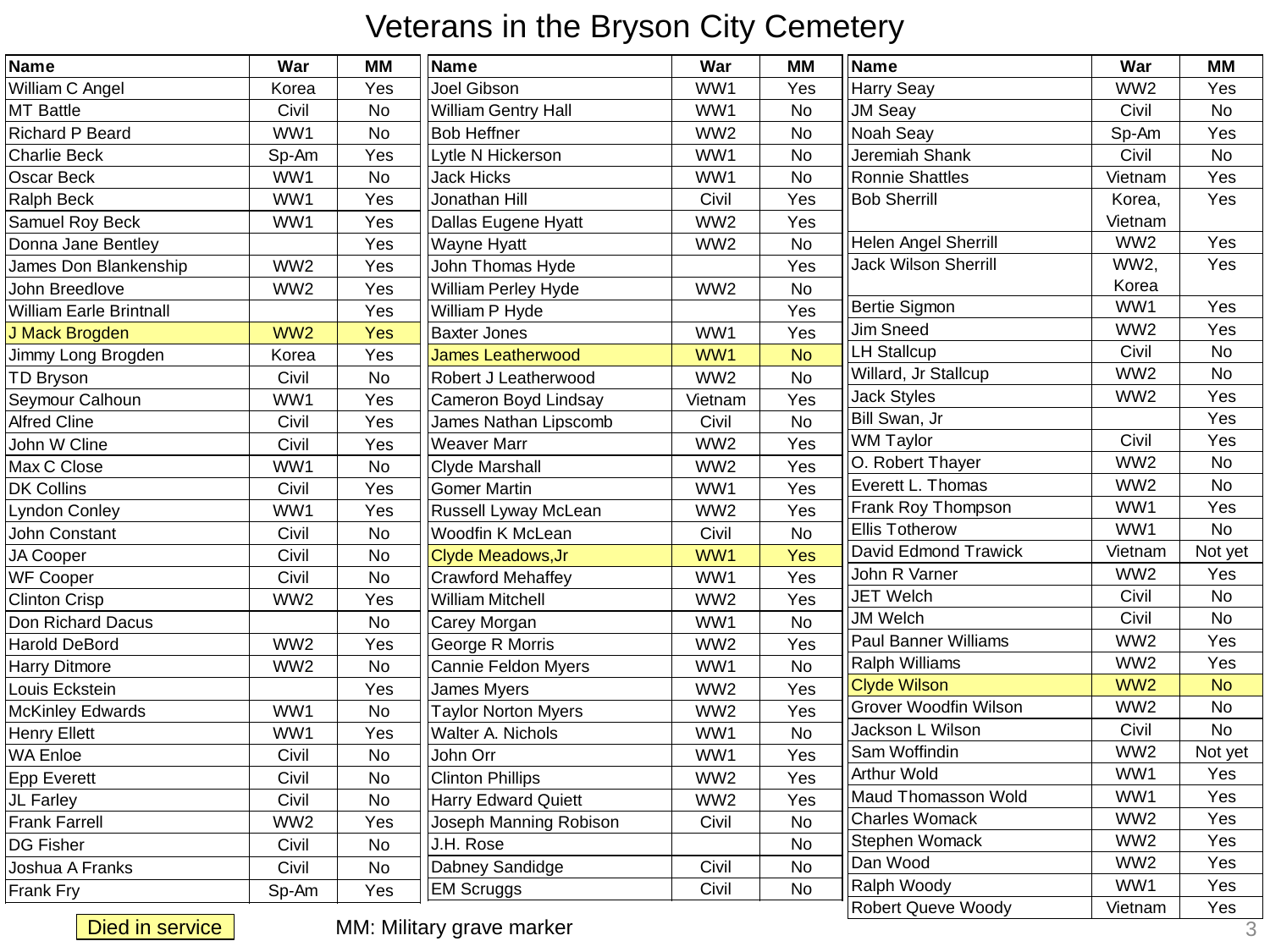#### Veterans in the Bryson City Cemetery

| <b>Name</b>                    | War             | <b>MM</b> | Name                        | War             | <b>MM</b> | Name                         | War             | <b>MM</b> |
|--------------------------------|-----------------|-----------|-----------------------------|-----------------|-----------|------------------------------|-----------------|-----------|
| William C Angel                | Korea           | Yes       | Joel Gibson                 | WW1             | Yes       | <b>Harry Seay</b>            | WW <sub>2</sub> | Yes       |
| <b>MT Battle</b>               | Civil           | No        | <b>William Gentry Hall</b>  | WW1             | <b>No</b> | <b>JM Seay</b>               | Civil           | <b>No</b> |
| <b>Richard P Beard</b>         | WW1             | <b>No</b> | <b>Bob Heffner</b>          | WW <sub>2</sub> | <b>No</b> | <b>Noah Seay</b>             | Sp-Am           | Yes       |
| <b>Charlie Beck</b>            | Sp-Am           | Yes       | _ytle N Hickerson           | WW1             | No        | Jeremiah Shank               | Civil           | <b>No</b> |
| Oscar Beck                     | WW1             | No        | <b>Jack Hicks</b>           | WW1             | <b>No</b> | <b>Ronnie Shattles</b>       | Vietnam         | Yes       |
| Ralph Beck                     | WW1             | Yes       | Jonathan Hill               | Civil           | Yes       | <b>Bob Sherrill</b>          | Korea,          | Yes       |
| Samuel Roy Beck                | WW1             | Yes       | Dallas Eugene Hyatt         | WW <sub>2</sub> | Yes       |                              | Vietnam         |           |
| Donna Jane Bentley             |                 | Yes       | <b>Wayne Hyatt</b>          | WW <sub>2</sub> | No        | Helen Angel Sherrill         | WW <sub>2</sub> | Yes       |
| James Don Blankenship          | WW <sub>2</sub> | Yes       | John Thomas Hyde            |                 | Yes       | <b>Jack Wilson Sherrill</b>  | WW2,            | Yes       |
| John Breedlove                 | WW <sub>2</sub> | Yes       | William Perley Hyde         | WW <sub>2</sub> | No        |                              | Korea           |           |
| <b>William Earle Brintnall</b> |                 | Yes       | William P Hyde              |                 | Yes       | Bertie Sigmon                | WW1             | Yes       |
| J Mack Brogden                 | WW <sub>2</sub> | Yes       | <b>Baxter Jones</b>         | WW1             | Yes       | <b>Jim Sneed</b>             | WW <sub>2</sub> | Yes       |
| Jimmy Long Brogden             | Korea           | Yes       | <b>James Leatherwood</b>    | WW1             | <b>No</b> | <b>LH Stallcup</b>           | Civil           | <b>No</b> |
| <b>TD Bryson</b>               | Civil           | No        | <b>Robert J Leatherwood</b> | WW <sub>2</sub> | <b>No</b> | Willard, Jr Stallcup         | WW <sub>2</sub> | <b>No</b> |
| Seymour Calhoun                | WW1             | Yes       | Cameron Boyd Lindsay        | Vietnam         | Yes       | <b>Jack Styles</b>           | WW <sub>2</sub> | Yes       |
| <b>Alfred Cline</b>            | Civil           | Yes       | James Nathan Lipscomb       | Civil           | <b>No</b> | Bill Swan, Jr                |                 | Yes       |
| John W Cline                   | Civil           | Yes       | <b>Weaver Marr</b>          | WW <sub>2</sub> | Yes       | <b>WM Taylor</b>             | Civil           | Yes       |
| Max C Close                    | WW1             | <b>No</b> | <b>Clyde Marshall</b>       | WW <sub>2</sub> | Yes       | O. Robert Thayer             | WW2             | <b>No</b> |
| <b>DK Collins</b>              | Civil           | Yes       | <b>Gomer Martin</b>         | WW1             | Yes       | Everett L. Thomas            | WW2             | <b>No</b> |
| <b>Lyndon Conley</b>           | WW1             | Yes       | <b>Russell Lyway McLean</b> | WW <sub>2</sub> | Yes       | <b>Frank Roy Thompson</b>    | WW1             | Yes       |
| <b>John Constant</b>           | Civil           | <b>No</b> | Woodfin K McLean            | Civil           | <b>No</b> | <b>Ellis Totherow</b>        | WW1             | <b>No</b> |
| <b>JA Cooper</b>               | Civil           | No        | <b>Clyde Meadows, Jr</b>    | WW1             | Yes       | David Edmond Trawick         | Vietnam         | Not yet   |
| <b>WF Cooper</b>               | Civil           | No        | <b>Crawford Mehaffey</b>    | WW1             | Yes       | <b>John R Varner</b>         | WW <sub>2</sub> | Yes       |
| <b>Clinton Crisp</b>           | WW <sub>2</sub> | Yes       | <b>William Mitchell</b>     | WW <sub>2</sub> | Yes       | <b>JET Welch</b>             | Civil           | No        |
| Don Richard Dacus              |                 | <b>No</b> | Carey Morgan                | WW1             | <b>No</b> | <b>JM Welch</b>              | Civil           | <b>No</b> |
| <b>Harold DeBord</b>           | WW <sub>2</sub> | Yes       | George R Morris             | WW <sub>2</sub> | Yes       | <b>Paul Banner Williams</b>  | WW <sub>2</sub> | Yes       |
| <b>Harry Ditmore</b>           | WW <sub>2</sub> | No        | <b>Cannie Feldon Myers</b>  | WW1             | No        | <b>Ralph Williams</b>        | WW <sub>2</sub> | Yes       |
| Louis Eckstein                 |                 | Yes       | James Myers                 | WW <sub>2</sub> | Yes       | <b>Clyde Wilson</b>          | WW <sub>2</sub> | <b>No</b> |
| <b>McKinley Edwards</b>        | WW1             | No        | <b>Taylor Norton Myers</b>  | WW <sub>2</sub> | Yes       | <b>Grover Woodfin Wilson</b> | WW <sub>2</sub> | <b>No</b> |
| <b>Henry Ellett</b>            | WW1             | Yes       | <b>Walter A. Nichols</b>    | WW1             | <b>No</b> | Jackson L Wilson             | Civil           | No        |
| <b>WA Enloe</b>                | Civil           | No        | John Orr                    | WW1             | Yes       | Sam Woffindin                | WW <sub>2</sub> | Not yet   |
| <b>Epp Everett</b>             | Civil           | No        | <b>Clinton Phillips</b>     | WW <sub>2</sub> | Yes       | <b>Arthur Wold</b>           | WW1             | Yes       |
| JL Farley                      | Civil           | No        | <b>Harry Edward Quiett</b>  | WW <sub>2</sub> | Yes       | Maud Thomasson Wold          | WW1             | Yes       |
| <b>Frank Farrell</b>           | WW <sub>2</sub> | Yes       | Joseph Manning Robison      | Civil           | No        | <b>Charles Womack</b>        | WW <sub>2</sub> | Yes       |
| <b>DG Fisher</b>               | Civil           | No        | J.H. Rose                   |                 | No        | Stephen Womack               | WW <sub>2</sub> | Yes       |
| Joshua A Franks                | Civil           | No        | Dabney Sandidge             | Civil           | No        | Dan Wood                     | WW <sub>2</sub> | Yes       |
| Frank Fry                      | Sp-Am           | Yes       | <b>EM Scruggs</b>           | Civil           | <b>No</b> | Ralph Woody                  | WW1             | Yes       |
|                                |                 |           |                             |                 |           | <b>Robert Queve Woody</b>    | Vietnam         | Yes       |